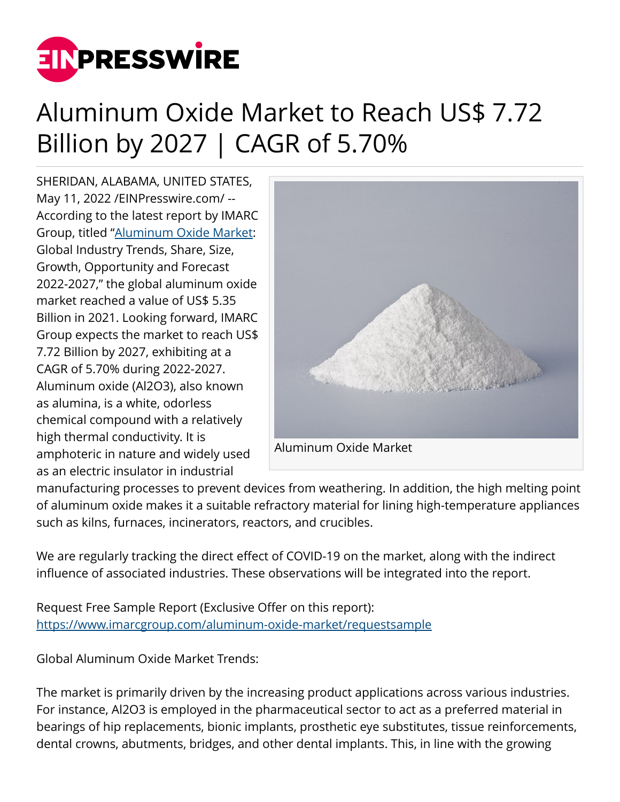

## Aluminum Oxide Market to Reach US\$ 7.72 Billion by 2027 | CAGR of 5.70%

SHERIDAN, ALABAMA, UNITED STATES, May 11, 2022 [/EINPresswire.com](http://www.einpresswire.com)/ -- According to the latest report by IMARC Group, titled ["Aluminum Oxide Market:](https://www.imarcgroup.com/aluminum-oxide-market) Global Industry Trends, Share, Size, Growth, Opportunity and Forecast 2022-2027," the global aluminum oxide market reached a value of US\$ 5.35 Billion in 2021. Looking forward, IMARC Group expects the market to reach US\$ 7.72 Billion by 2027, exhibiting at a CAGR of 5.70% during 2022-2027. Aluminum oxide (Al2O3), also known as alumina, is a white, odorless chemical compound with a relatively high thermal conductivity. It is amphoteric in nature and widely used as an electric insulator in industrial



manufacturing processes to prevent devices from weathering. In addition, the high melting point of aluminum oxide makes it a suitable refractory material for lining high-temperature appliances such as kilns, furnaces, incinerators, reactors, and crucibles.

We are regularly tracking the direct effect of COVID-19 on the market, along with the indirect influence of associated industries. These observations will be integrated into the report.

Request Free Sample Report (Exclusive Offer on this report): <https://www.imarcgroup.com/aluminum-oxide-market/requestsample>

Global Aluminum Oxide Market Trends:

The market is primarily driven by the increasing product applications across various industries. For instance, Al2O3 is employed in the pharmaceutical sector to act as a preferred material in bearings of hip replacements, bionic implants, prosthetic eye substitutes, tissue reinforcements, dental crowns, abutments, bridges, and other dental implants. This, in line with the growing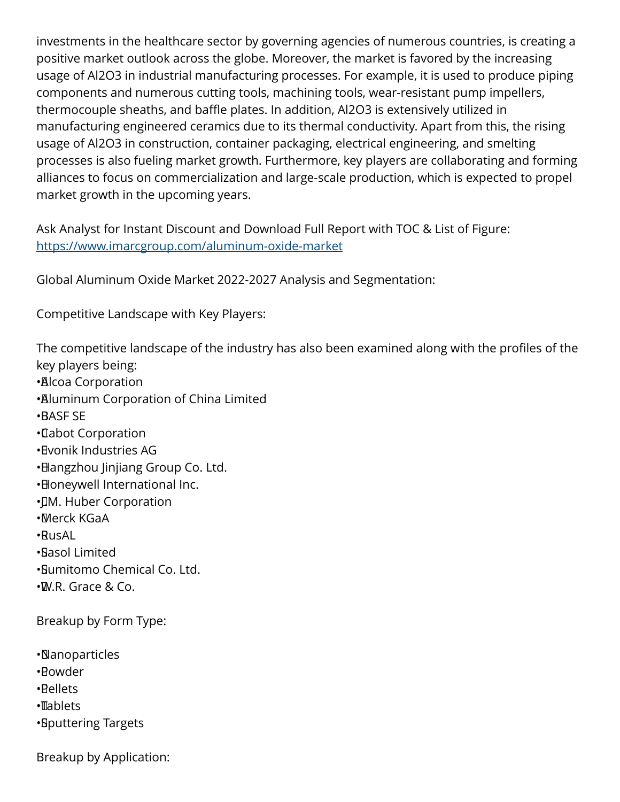investments in the healthcare sector by governing agencies of numerous countries, is creating a positive market outlook across the globe. Moreover, the market is favored by the increasing usage of Al2O3 in industrial manufacturing processes. For example, it is used to produce piping components and numerous cutting tools, machining tools, wear-resistant pump impellers, thermocouple sheaths, and baffle plates. In addition, Al2O3 is extensively utilized in manufacturing engineered ceramics due to its thermal conductivity. Apart from this, the rising usage of Al2O3 in construction, container packaging, electrical engineering, and smelting processes is also fueling market growth. Furthermore, key players are collaborating and forming alliances to focus on commercialization and large-scale production, which is expected to propel market growth in the upcoming years.

Ask Analyst for Instant Discount and Download Full Report with TOC & List of Figure: <https://www.imarcgroup.com/aluminum-oxide-market>

Global Aluminum Oxide Market 2022-2027 Analysis and Segmentation:

Competitive Landscape with Key Players:

The competitive landscape of the industry has also been examined along with the profiles of the key players being: • Alcoa Corporation • Aluminum Corporation of China Limited • BASF SE • Cabot Corporation • Evonik Industries AG • Hangzhou Jinjiang Group Co. Ltd. • Honeywell International Inc. •**IM. Huber Corporation** • Merck KGaA • RusAL • Sasol Limited • Sumitomo Chemical Co. Ltd.

• W.R. Grace & Co.

Breakup by Form Type:

• Nanoparticles

• Powder

• Pellets

• Tablets

• Sputtering Targets

Breakup by Application: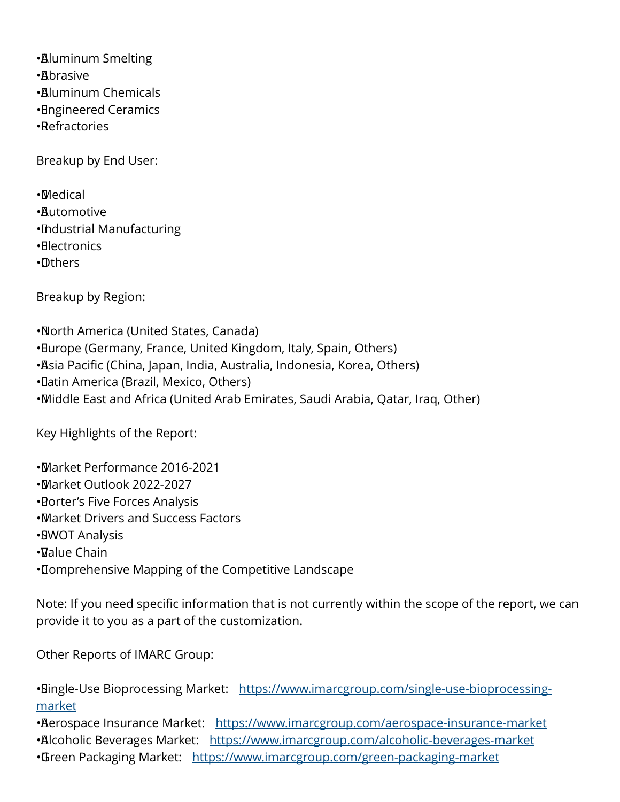• Aluminum Smelting

- • Abrasive
- • Aluminum Chemicals
- • Engineered Ceramics
- • Refractories

Breakup by End User:

• Medical

- • Automotive
- • Industrial Manufacturing
- • Electronics
- • Others

Breakup by Region:

• North America (United States, Canada) • Europe (Germany, France, United Kingdom, Italy, Spain, Others) • Asia Pacific (China, Japan, India, Australia, Indonesia, Korea, Others) • Latin America (Brazil, Mexico, Others) • Middle East and Africa (United Arab Emirates, Saudi Arabia, Qatar, Iraq, Other)

Key Highlights of the Report:

• Market Performance 2016-2021 • Market Outlook 2022-2027 • Porter's Five Forces Analysis • Market Drivers and Success Factors • SWOT Analysis • Value Chain • Comprehensive Mapping of the Competitive Landscape

Note: If you need specific information that is not currently within the scope of the report, we can provide it to you as a part of the customization.

Other Reports of IMARC Group:

• Single-Use Bioprocessing Market: [https://www.imarcgroup.com/single-use-bioprocessing](https://www.imarcgroup.com/single-use-bioprocessing-market)[market](https://www.imarcgroup.com/single-use-bioprocessing-market)

• Berospace Insurance Market: <https://www.imarcgroup.com/aerospace-insurance-market>

• Alcoholic Beverages Market: <https://www.imarcgroup.com/alcoholic-beverages-market>

•Green Packaging Market: <https://www.imarcgroup.com/green-packaging-market>